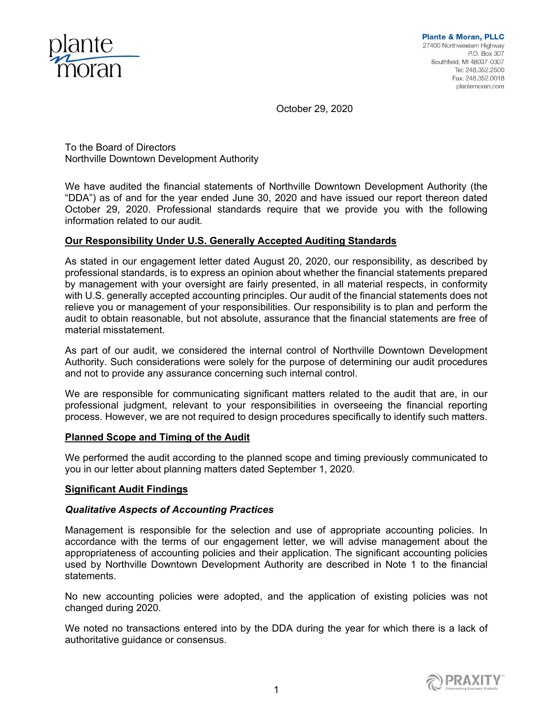

October 29, 2020

To the Board of Directors Northville Downtown Development Authority

We have audited the financial statements of Northville Downtown Development Authority (the "DDA") as of and for the year ended June 30, 2020 and have issued our report thereon dated October 29, 2020. Professional standards require that we provide you with the following information related to our audit.

# **Our Responsibility Under U.S. Generally Accepted Auditing Standards**

As stated in our engagement letter dated August 20, 2020, our responsibility, as described by professional standards, is to express an opinion about whether the financial statements prepared by management with your oversight are fairly presented, in all material respects, in conformity with U.S. generally accepted accounting principles. Our audit of the financial statements does not relieve you or management of your responsibilities. Our responsibility is to plan and perform the audit to obtain reasonable, but not absolute, assurance that the financial statements are free of material misstatement.

As part of our audit, we considered the internal control of Northville Downtown Development Authority. Such considerations were solely for the purpose of determining our audit procedures and not to provide any assurance concerning such internal control.

We are responsible for communicating significant matters related to the audit that are, in our professional judgment, relevant to your responsibilities in overseeing the financial reporting process. However, we are not required to design procedures specifically to identify such matters.

## **Planned Scope and Timing of the Audit**

We performed the audit according to the planned scope and timing previously communicated to you in our letter about planning matters dated September 1, 2020.

## **Significant Audit Findings**

## *Qualitative Aspects of Accounting Practices*

Management is responsible for the selection and use of appropriate accounting policies. In accordance with the terms of our engagement letter, we will advise management about the appropriateness of accounting policies and their application. The significant accounting policies used by Northville Downtown Development Authority are described in Note 1 to the financial statements.

No new accounting policies were adopted, and the application of existing policies was not changed during 2020.

We noted no transactions entered into by the DDA during the year for which there is a lack of authoritative guidance or consensus.

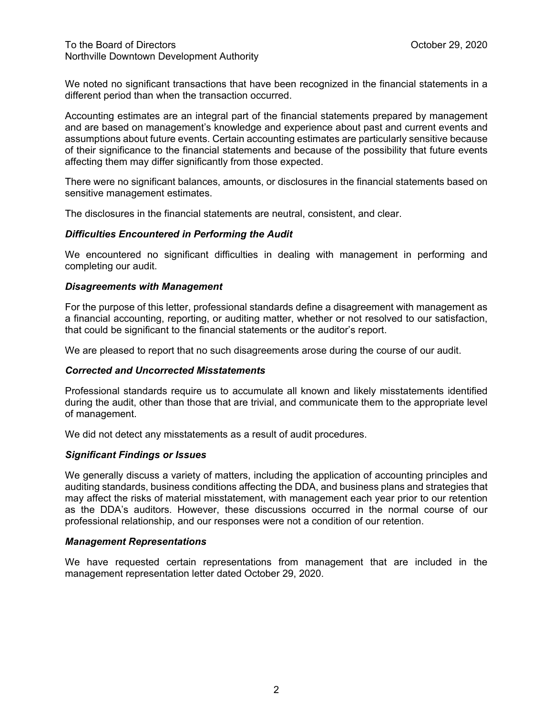We noted no significant transactions that have been recognized in the financial statements in a different period than when the transaction occurred.

Accounting estimates are an integral part of the financial statements prepared by management and are based on management's knowledge and experience about past and current events and assumptions about future events. Certain accounting estimates are particularly sensitive because of their significance to the financial statements and because of the possibility that future events affecting them may differ significantly from those expected.

There were no significant balances, amounts, or disclosures in the financial statements based on sensitive management estimates.

The disclosures in the financial statements are neutral, consistent, and clear.

### *Difficulties Encountered in Performing the Audit*

We encountered no significant difficulties in dealing with management in performing and completing our audit.

### *Disagreements with Management*

For the purpose of this letter, professional standards define a disagreement with management as a financial accounting, reporting, or auditing matter, whether or not resolved to our satisfaction, that could be significant to the financial statements or the auditor's report.

We are pleased to report that no such disagreements arose during the course of our audit.

#### *Corrected and Uncorrected Misstatements*

Professional standards require us to accumulate all known and likely misstatements identified during the audit, other than those that are trivial, and communicate them to the appropriate level of management.

We did not detect any misstatements as a result of audit procedures.

## *Significant Findings or Issues*

We generally discuss a variety of matters, including the application of accounting principles and auditing standards, business conditions affecting the DDA, and business plans and strategies that may affect the risks of material misstatement, with management each year prior to our retention as the DDA's auditors. However, these discussions occurred in the normal course of our professional relationship, and our responses were not a condition of our retention.

#### *Management Representations*

We have requested certain representations from management that are included in the management representation letter dated October 29, 2020.